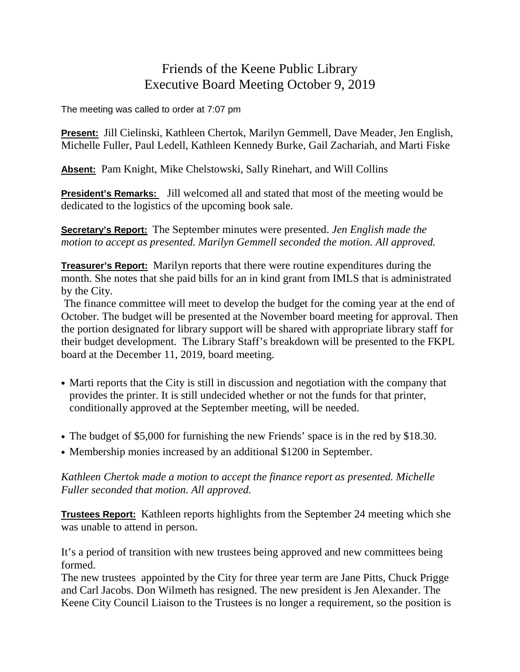## Friends of the Keene Public Library Executive Board Meeting October 9, 2019

The meeting was called to order at 7:07 pm

**Present:** Jill Cielinski, Kathleen Chertok, Marilyn Gemmell, Dave Meader, Jen English, Michelle Fuller, Paul Ledell, Kathleen Kennedy Burke, Gail Zachariah, and Marti Fiske

**Absent:** Pam Knight, Mike Chelstowski, Sally Rinehart, and Will Collins

**President's Remarks:** Jill welcomed all and stated that most of the meeting would be dedicated to the logistics of the upcoming book sale.

**Secretary's Report:** The September minutes were presented. *Jen English made the motion to accept as presented. Marilyn Gemmell seconded the motion. All approved.*

**Treasurer's Report:** Marilyn reports that there were routine expenditures during the month. She notes that she paid bills for an in kind grant from IMLS that is administrated by the City.

The finance committee will meet to develop the budget for the coming year at the end of October. The budget will be presented at the November board meeting for approval. Then the portion designated for library support will be shared with appropriate library staff for their budget development. The Library Staff's breakdown will be presented to the FKPL board at the December 11, 2019, board meeting.

- Marti reports that the City is still in discussion and negotiation with the company that provides the printer. It is still undecided whether or not the funds for that printer, conditionally approved at the September meeting, will be needed.
- The budget of \$5,000 for furnishing the new Friends' space is in the red by \$18.30.
- Membership monies increased by an additional \$1200 in September.

*Kathleen Chertok made a motion to accept the finance report as presented. Michelle Fuller seconded that motion. All approved.*

**Trustees Report:** Kathleen reports highlights from the September 24 meeting which she was unable to attend in person.

It's a period of transition with new trustees being approved and new committees being formed.

The new trustees appointed by the City for three year term are Jane Pitts, Chuck Prigge and Carl Jacobs. Don Wilmeth has resigned. The new president is Jen Alexander. The Keene City Council Liaison to the Trustees is no longer a requirement, so the position is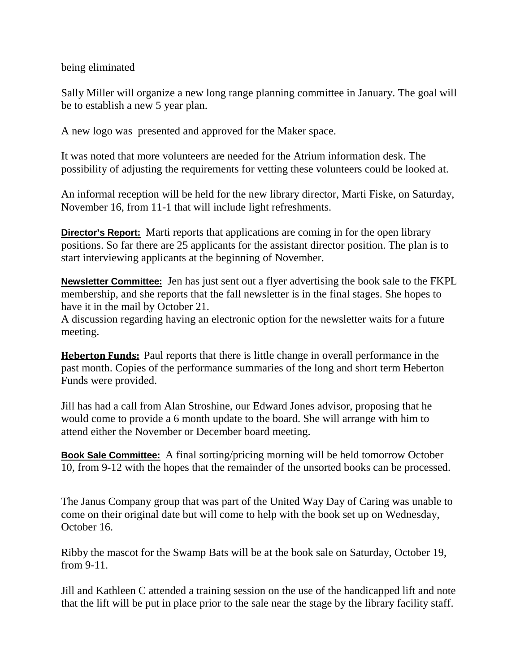being eliminated

Sally Miller will organize a new long range planning committee in January. The goal will be to establish a new 5 year plan.

A new logo was presented and approved for the Maker space.

It was noted that more volunteers are needed for the Atrium information desk. The possibility of adjusting the requirements for vetting these volunteers could be looked at.

An informal reception will be held for the new library director, Marti Fiske, on Saturday, November 16, from 11-1 that will include light refreshments.

**Director's Report:** Marti reports that applications are coming in for the open library positions. So far there are 25 applicants for the assistant director position. The plan is to start interviewing applicants at the beginning of November.

**Newsletter Committee:** Jen has just sent out a flyer advertising the book sale to the FKPL membership, and she reports that the fall newsletter is in the final stages. She hopes to have it in the mail by October 21.

A discussion regarding having an electronic option for the newsletter waits for a future meeting.

**Heberton Funds:** Paul reports that there is little change in overall performance in the past month. Copies of the performance summaries of the long and short term Heberton Funds were provided.

Jill has had a call from Alan Stroshine, our Edward Jones advisor, proposing that he would come to provide a 6 month update to the board. She will arrange with him to attend either the November or December board meeting.

**Book Sale Committee:** A final sorting/pricing morning will be held tomorrow October 10, from 9-12 with the hopes that the remainder of the unsorted books can be processed.

The Janus Company group that was part of the United Way Day of Caring was unable to come on their original date but will come to help with the book set up on Wednesday, October 16.

Ribby the mascot for the Swamp Bats will be at the book sale on Saturday, October 19, from 9-11.

Jill and Kathleen C attended a training session on the use of the handicapped lift and note that the lift will be put in place prior to the sale near the stage by the library facility staff.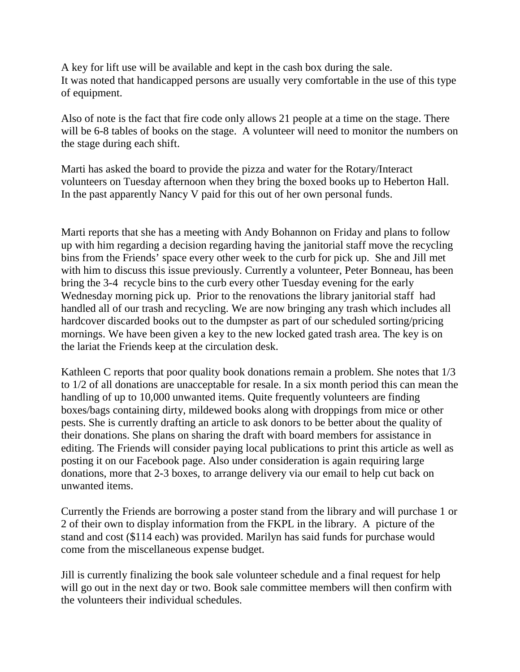A key for lift use will be available and kept in the cash box during the sale. It was noted that handicapped persons are usually very comfortable in the use of this type of equipment.

Also of note is the fact that fire code only allows 21 people at a time on the stage. There will be 6-8 tables of books on the stage. A volunteer will need to monitor the numbers on the stage during each shift.

Marti has asked the board to provide the pizza and water for the Rotary/Interact volunteers on Tuesday afternoon when they bring the boxed books up to Heberton Hall. In the past apparently Nancy V paid for this out of her own personal funds.

Marti reports that she has a meeting with Andy Bohannon on Friday and plans to follow up with him regarding a decision regarding having the janitorial staff move the recycling bins from the Friends' space every other week to the curb for pick up. She and Jill met with him to discuss this issue previously. Currently a volunteer, Peter Bonneau, has been bring the 3-4 recycle bins to the curb every other Tuesday evening for the early Wednesday morning pick up. Prior to the renovations the library janitorial staff had handled all of our trash and recycling. We are now bringing any trash which includes all hardcover discarded books out to the dumpster as part of our scheduled sorting/pricing mornings. We have been given a key to the new locked gated trash area. The key is on the lariat the Friends keep at the circulation desk.

Kathleen C reports that poor quality book donations remain a problem. She notes that  $1/3$ to 1/2 of all donations are unacceptable for resale. In a six month period this can mean the handling of up to 10,000 unwanted items. Quite frequently volunteers are finding boxes/bags containing dirty, mildewed books along with droppings from mice or other pests. She is currently drafting an article to ask donors to be better about the quality of their donations. She plans on sharing the draft with board members for assistance in editing. The Friends will consider paying local publications to print this article as well as posting it on our Facebook page. Also under consideration is again requiring large donations, more that 2-3 boxes, to arrange delivery via our email to help cut back on unwanted items.

Currently the Friends are borrowing a poster stand from the library and will purchase 1 or 2 of their own to display information from the FKPL in the library. A picture of the stand and cost (\$114 each) was provided. Marilyn has said funds for purchase would come from the miscellaneous expense budget.

Jill is currently finalizing the book sale volunteer schedule and a final request for help will go out in the next day or two. Book sale committee members will then confirm with the volunteers their individual schedules.